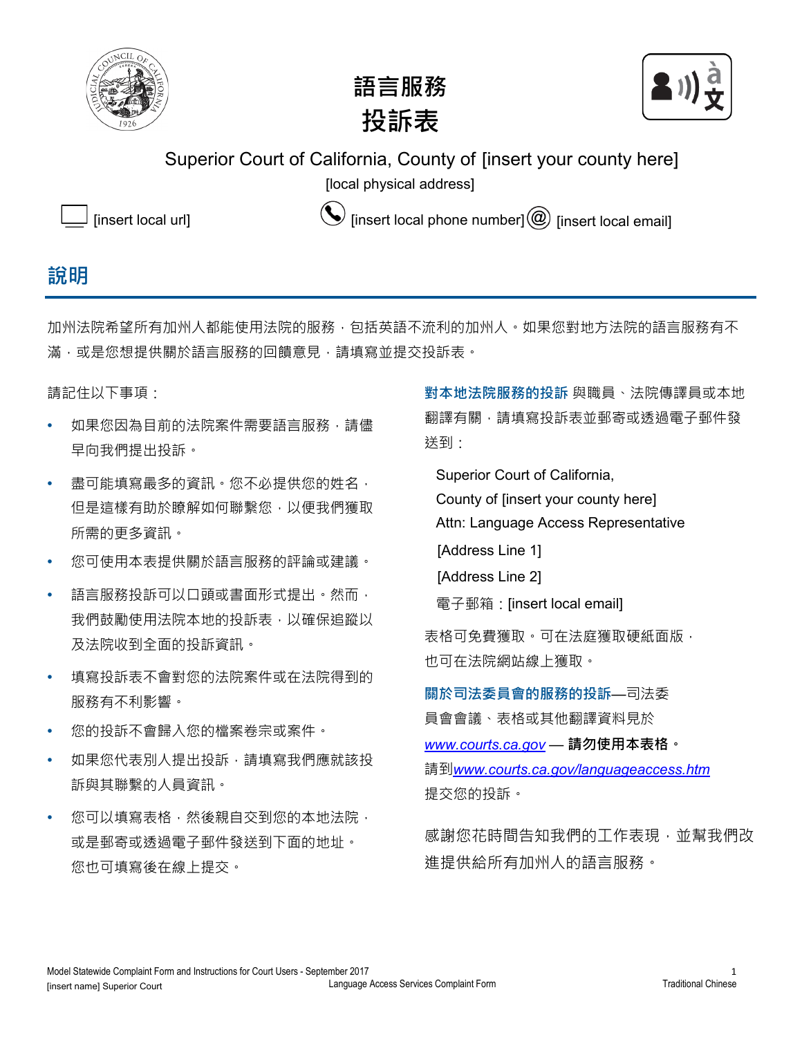





Superior Court of California, County of [insert your county here]

[local physical address] [local physical address]



[insert local url]  $\bigotimes$  [insert local phone number]  $\circledR$  [insert local email]

## **說明**

加州法院希望所有加州人都能使用法院的服務,包括英語不流利的加州人。如果您對地方法院的語言服務有不 滿,或是您想提供關於語言服務的回饋意見,請填寫並提交投訴表。

請記住以下事項:

- 如果您因為目前的法院案件需要語言服務,請儘 早向我們提出投訴。
- 盡可能填寫最多的資訊。您不必提供您的姓名, 但是這樣有助於瞭解如何聯繫您,以便我們獲取 所需的更多資訊。
- 您可使用本表提供關於語言服務的評論或建議。
- 語言服務投訴可以口頭或書面形式提出。然而, 我們鼓勵使用法院本地的投訴表,以確保追蹤以 及法院收到全面的投訴資訊。
- 填寫投訴表不會對您的法院案件或在法院得到的 服務有不利影響。
- 您的投訴不會歸入您的檔案卷宗或案件。
- 如果您代表別人提出投訴,請填寫我們應就該投 訴與其聯繫的人員資訊。
- 您可以填寫表格,然後親自交到您的本地法院, 或是郵寄或透過電子郵件發送到下面的地址。 您也可填寫後在線上提交。

**對本地法院服務的投訴** 與職員、法院傳譯員或本地 翻譯有關,請填寫投訴表並郵寄或透過電子郵件發 送到:

Superior Court of California,

County of [insert your county here]

Attn: Language Access Representative

- [Address Line 1]
- [Address Line 2]
- 電子郵箱: *[insert local email]* [insert local email]

表格可免費獲取。可在法庭獲取硬紙面版, 也可在法院網站線上獲取。

**關於司法委員會的服務的投訴**—司法委 員會會議、表格或其他翻譯資料見於 *www.courts.ca.gov* — **請勿使用本表格。** 請到*www.courts.ca.gov/languageaccess.htm* 提交您的投訴。

感謝您花時間告知我們的工作表現,並幫我們改 進提供給所有加州人的語言服務。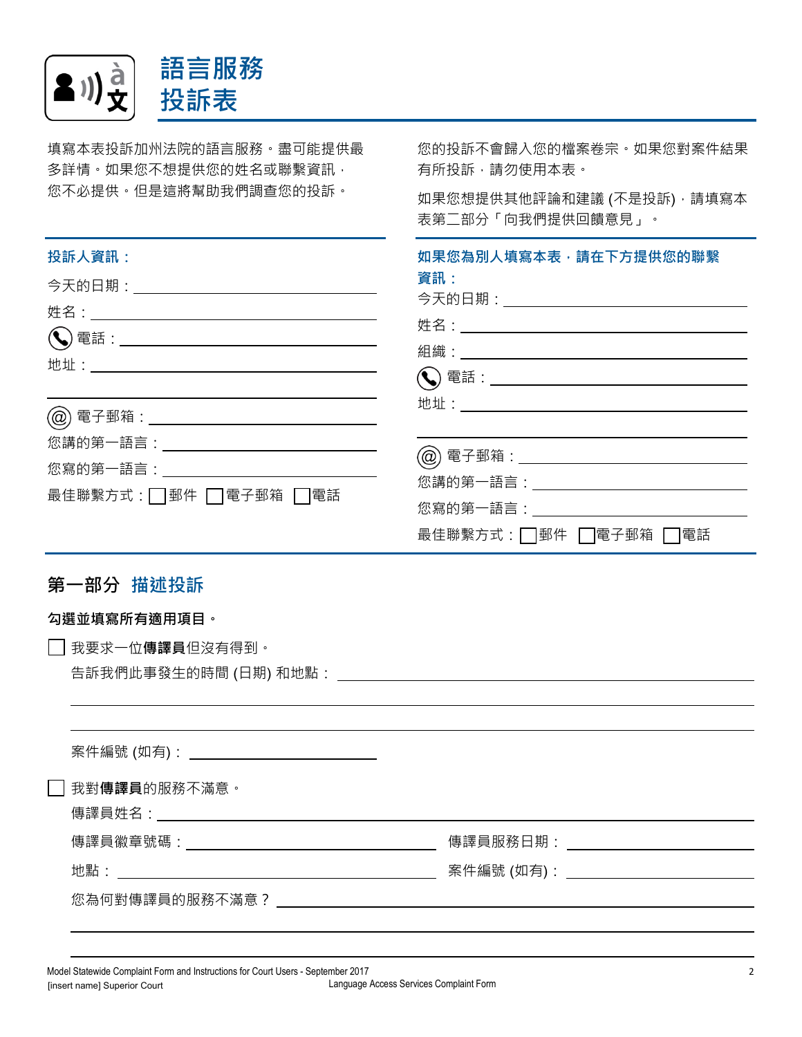

填寫本表投訴加州法院的語言服務。盡可能提供最 多詳情。如果您不想提供您的姓名或聯繫資訊, 您不必提供。但是這將幫助我們調查您的投訴。 您的投訴不會歸入您的檔案卷宗。如果您對案件結果 有所投訴﹐請勿使用本表。 如果您想提供其他評論和建議 (不是投訴), 請填寫本 表第二部分「向我們提供回饋意見」。 **投訴人資訊: 今天的日期: \_\_\_\_\_\_\_\_\_\_\_\_\_\_\_\_\_\_\_\_\_\_\_\_\_** 姓名: 電話: 地址: 電子郵箱: 您講的第一語言: 您寫的第一語言: \_\_\_\_\_\_\_\_\_\_\_\_\_ 最佳聯繫方式: □ 郵件 □ 電子郵箱 □ 電話 **如果您為別人填寫本表,請在下方提供您的聯繫 資訊:** 今天的日期: 姓名: 組織:  $\left(\bigodot\right)$  電話: $\qquad \qquad$ 地址: 電子郵箱: 您講的第一語言: 您寫的第一語言: 最佳聯繫方式: □ 郵件 □ 電子郵箱 □ 電話 **第一部分 描述投訴**

## **勾選並填寫所有適用項目。**

☐ 我要求一位**傳譯員**但沒有得到。

告訴我們此事發生的時間 (日期) 和地點:

| <u> 案件編號 (如有): __________________________</u> |                                              |
|-----------------------------------------------|----------------------------------------------|
| ] 我對 <b>傳譯員</b> 的服務不滿意。                       |                                              |
|                                               | 傳譯員服務日期:                                     |
|                                               | <u> 案件編號 (如有): _________________________</u> |
| 您為何對傳譯員的服務不滿意?                                |                                              |
|                                               |                                              |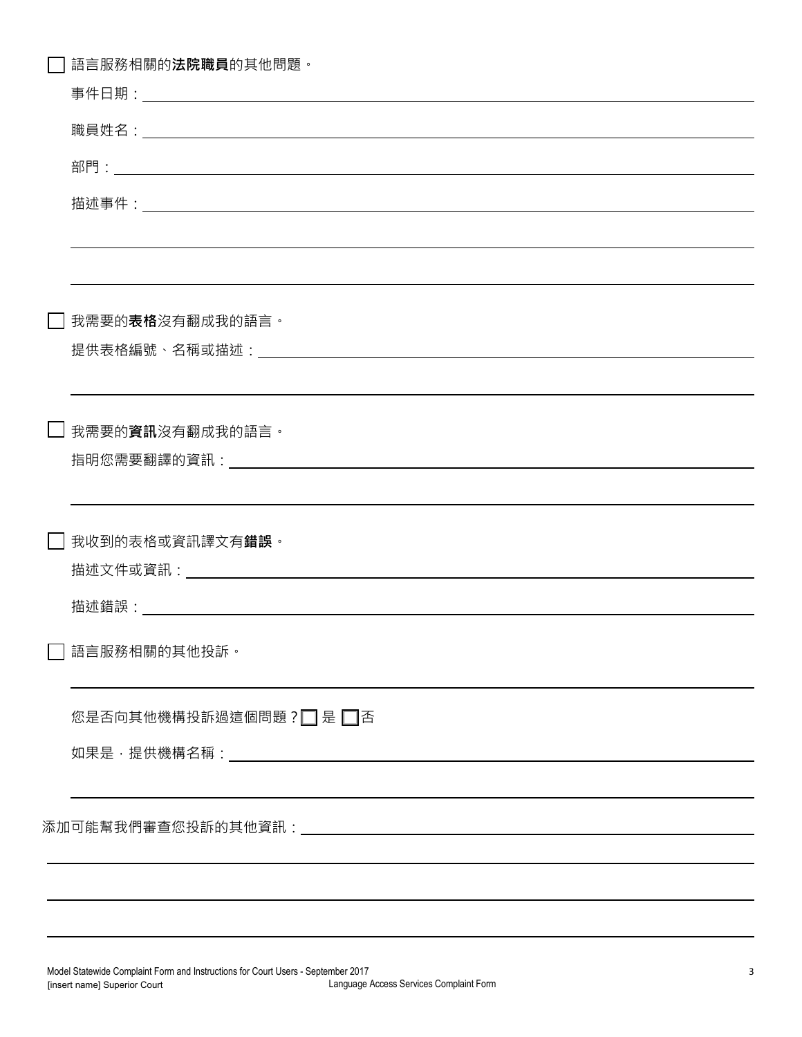| 語言服務相關的 <b>法院職員</b> 的其他問題 <sup>。</sup>                                           |
|----------------------------------------------------------------------------------|
|                                                                                  |
|                                                                                  |
|                                                                                  |
|                                                                                  |
|                                                                                  |
| 我需要的 <b>表格</b> 沒有翻成我的語言。                                                         |
| ,我们也不会有什么。""我们的人,我们也不会有什么?""我们的人,我们也不会有什么?""我们的人,我们也不会有什么?""我们的人,我们也不会有什么?""我们的人 |
| __  我需要的 <b>資訊</b> 沒有翻成我的語言。                                                     |
| ,我们也不会有什么。""我们的人,我们也不会有什么?""我们的人,我们也不会有什么?""我们的人,我们也不会有什么?""我们的人,我们也不会有什么?""我们的人 |
| □ 我收到的表格或資訊譯文有 <b>錯誤</b> 。                                                       |
|                                                                                  |
| $\Box$ 語言服務相關的其他投訴。                                                              |
| 您是否向其他機構投訴過這個問題?□ 是□否                                                            |
|                                                                                  |
|                                                                                  |
|                                                                                  |
|                                                                                  |
|                                                                                  |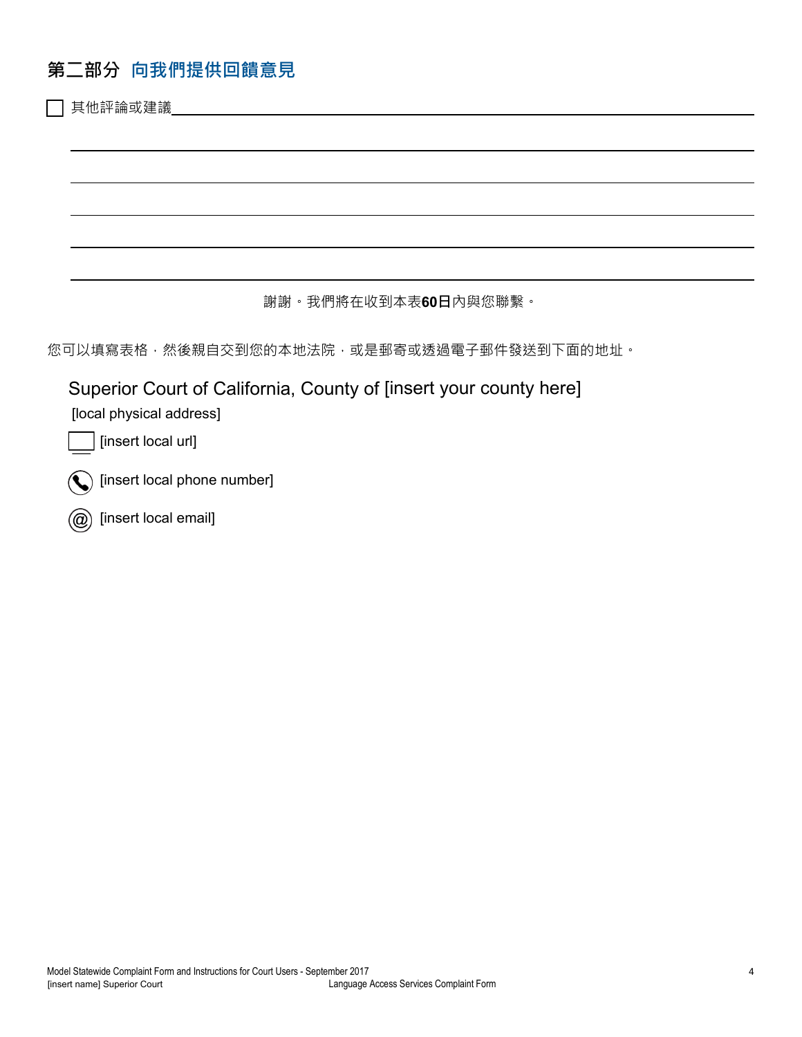## **第二部分 向我們提供回饋意見**

其他評論或建議

謝謝。我們將在收到本表**60日**內與您聯繫。

您可以填寫表格,然後親自交到您的本地法院,或是郵寄或透過電子郵件發送到下面的地址。

Superior Court of California, County of [insert your county here]

[local physical address] [local physical address]

[insert local url]

[insert local phone number]

[insert local email]  $\mathcal{L}(\mathcal{Q})$